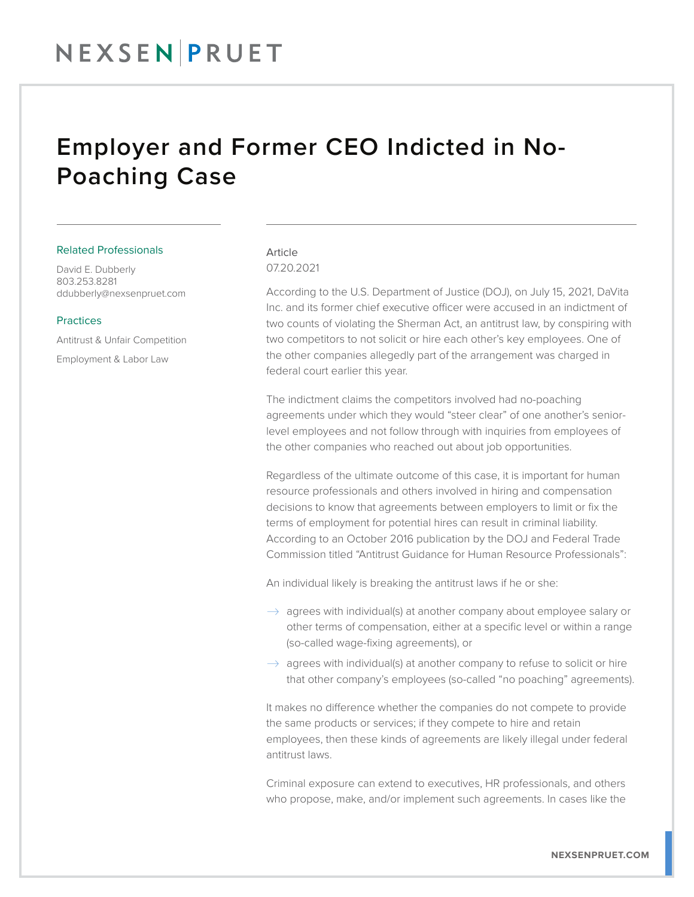## NEXSEN PRUET

### Employer and Former CEO Indicted in No-Poaching Case

#### Related Professionals

David E. Dubberly 803.253.8281 ddubberly@nexsenpruet.com

#### Practices

Antitrust & Unfair Competition Employment & Labor Law

#### Article 07.20.2021

According to the U.S. Department of Justice (DOJ), on July 15, 2021, DaVita Inc. and its former chief executive officer were accused in an indictment of two counts of violating the Sherman Act, an antitrust law, by conspiring with two competitors to not solicit or hire each other's key employees. One of the other companies allegedly part of the arrangement was charged in federal court earlier this year.

The indictment claims the competitors involved had no-poaching agreements under which they would "steer clear" of one another's seniorlevel employees and not follow through with inquiries from employees of the other companies who reached out about job opportunities.

Regardless of the ultimate outcome of this case, it is important for human resource professionals and others involved in hiring and compensation decisions to know that agreements between employers to limit or fix the terms of employment for potential hires can result in criminal liability. According to an October 2016 publication by the DOJ and Federal Trade Commission titled "Antitrust Guidance for Human Resource Professionals":

An individual likely is breaking the antitrust laws if he or she:

- $\rightarrow$  agrees with individual(s) at another company about employee salary or other terms of compensation, either at a specific level or within a range (so-called wage-fixing agreements), or
- $\rightarrow$  agrees with individual(s) at another company to refuse to solicit or hire that other company's employees (so-called "no poaching" agreements).

It makes no difference whether the companies do not compete to provide the same products or services; if they compete to hire and retain employees, then these kinds of agreements are likely illegal under federal antitrust laws.

Criminal exposure can extend to executives, HR professionals, and others who propose, make, and/or implement such agreements. In cases like the